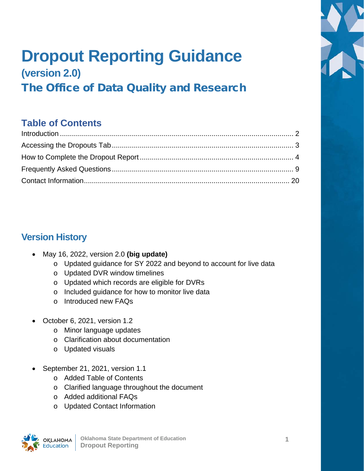

# **Dropout Reporting Guidance (version 2.0)**

The Office of Data Quality and Research

# **Table of Contents**

# **Version History**

- May 16, 2022, version 2.0 **(big update)**
	- o Updated guidance for SY 2022 and beyond to account for live data
	- o Updated DVR window timelines
	- o Updated which records are eligible for DVRs
	- o Included guidance for how to monitor live data
	- o Introduced new FAQs
- October 6, 2021, version 1.2
	- o Minor language updates
	- o Clarification about documentation
	- o Updated visuals
- September 21, 2021, version 1.1
	- o Added Table of Contents
	- o Clarified language throughout the document
	- o Added additional FAQs
	- o Updated Contact Information

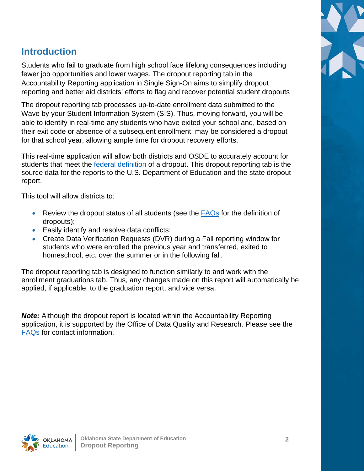

## <span id="page-1-0"></span>**Introduction**

Students who fail to graduate from high school face lifelong consequences including fewer job opportunities and lower wages. The dropout reporting tab in the Accountability Reporting application in Single Sign-On aims to simplify dropout reporting and better aid districts' efforts to flag and recover potential student dropouts

The dropout reporting tab processes up-to-date enrollment data submitted to the Wave by your Student Information System (SIS). Thus, moving forward, you will be able to identify in real-time any students who have exited your school and, based on their exit code or absence of a subsequent enrollment, may be considered a dropout for that school year, allowing ample time for dropout recovery efforts.

This real-time application will allow both districts and OSDE to accurately account for students that meet the [federal definition](https://www2.ed.gov/about/inits/ed/edfacts/sy-20-21-nonxml.html) of a dropout. This dropout reporting tab is the source data for the reports to the U.S. Department of Education and the state dropout report.

This tool will allow districts to:

- Review the dropout status of all students (see the  $FAQs$  for the definition of dropouts);
- Easily identify and resolve data conflicts;
- Create Data Verification Requests (DVR) during a Fall reporting window for students who were enrolled the previous year and transferred, exited to homeschool, etc. over the summer or in the following fall.

The dropout reporting tab is designed to function similarly to and work with the enrollment graduations tab. Thus, any changes made on this report will automatically be applied, if applicable, to the graduation report, and vice versa.

*Note:* Although the dropout report is located within the Accountability Reporting application, it is supported by the Office of Data Quality and Research. Please see the [FAQs](#page-8-0) for contact information.

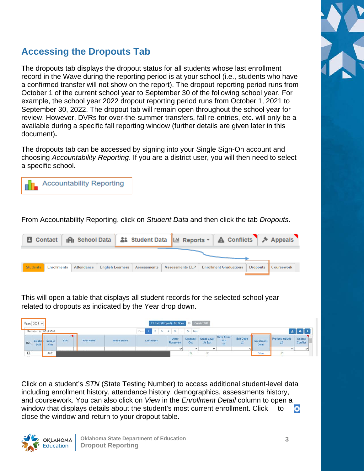# <span id="page-2-0"></span>**Accessing the Dropouts Tab**

The dropouts tab displays the dropout status for all students whose last enrollment record in the Wave during the reporting period is at your school (i.e., students who have a confirmed transfer will not show on the report). The dropout reporting period runs from October 1 of the current school year to September 30 of the following school year. For example, the school year 2022 dropout reporting period runs from October 1, 2021 to September 30, 2022. The dropout tab will remain open throughout the school year for review. However, DVRs for over-the-summer transfers, fall re-entries, etc. will only be a available during a specific fall reporting window (further details are given later in this document)**.** 

The dropouts tab can be accessed by signing into your Single Sign-On account and choosing *Accountability Reporting*. If you are a district user, you will then need to select a specific school.



From Accountability Reporting, click on *Student Data* and then click the tab *Dropouts*.

| B Contact                             |                   |                                       |                        |                               |          | IAI School Data   ≗: Student Data   M Reports v   A Conflicts   A Appeals |
|---------------------------------------|-------------------|---------------------------------------|------------------------|-------------------------------|----------|---------------------------------------------------------------------------|
|                                       |                   |                                       |                        |                               |          |                                                                           |
| <b>Students</b><br><b>Enrollments</b> | <b>Attendance</b> | <b>English Learners   Assessments</b> | <b>Assessments ELP</b> | <b>Enrollment Graduations</b> | Dropouts | <b>Coursework</b>                                                         |
|                                       |                   |                                       |                        |                               |          |                                                                           |

This will open a table that displays all student records for the selected school year related to dropouts as indicated by the Year drop down.

| a Chery argua che la<br>Year: $2021$ $\times$ |                |                    |            |             | EZ Entry (Dropout) : 31 Open                       |                    |                       | >> Create DVR          |                                |                       |                      |                      |                           |  |
|-----------------------------------------------|----------------|--------------------|------------|-------------|----------------------------------------------------|--------------------|-----------------------|------------------------|--------------------------------|-----------------------|----------------------|----------------------|---------------------------|--|
| Records 1 to 100 of 3338                      |                |                    |            |             | Print                                              |                    | 34 Next               |                        |                                |                       |                      |                      | $\pm$ 0 $\pm$             |  |
| Existin<br><b>DVR</b><br><b>DVR</b>           | School<br>Year | <b>STN</b><br>33.Y | First Name | Middle Name | Last Name<br><b><i>CONTRACTORY CONTRACTORY</i></b> | Other<br>Placement | <b>Oropped</b><br>Out | Grade Level<br>At Exit | Days Since<br>Exit<br>$\equiv$ | Exit Code<br>$\equiv$ | Enrollment<br>Detail | Process Include<br>ㄹ | Record<br><b>Conflict</b> |  |
|                                               |                |                    |            |             |                                                    | $\checkmark$       |                       | $\sim$                 |                                |                       |                      |                      | $\checkmark$              |  |
| ◡<br>$\blacksquare$                           | 2021           |                    |            |             |                                                    |                    | N                     | 12                     |                                |                       | View<br>$\sim$       | 5x                   |                           |  |

Click on a student's *STN* (State Testing Number) to access additional student-level data including enrollment history, attendance history, demographics, assessments history, and coursework. You can also click on *View* in the *Enrollment Detail* column to open a window that displays details about the student's most current enrollment. Click to  $\bullet$ close the window and return to your dropout table.



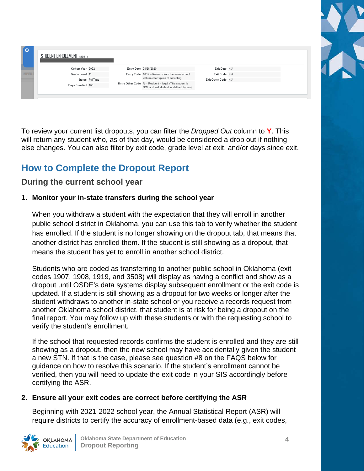STUDENT ENROLLMENT (2021)

| Cohort Year 2022  |                 |
|-------------------|-----------------|
| Grade Level 11    |                 |
|                   | Status FullTime |
| Days Enrolled 168 |                 |
|                   |                 |

| Entry Date 08/26/2020 |                                                                                                   |
|-----------------------|---------------------------------------------------------------------------------------------------|
|                       | Entry Code 1835 -- Re-entry from the same school<br>with no interruption of schooling             |
|                       | ntry Other Code R--Resident - legal. (This student is<br>NOT a virtual student as defined by law) |

Exit Date N/A Exit Code N/A Exit Other Code N/A



To review your current list dropouts, you can filter the *Dropped Out* column to **Y**. This will return any student who, as of that day, would be considered a drop out if nothing else changes. You can also filter by exit code, grade level at exit, and/or days since exit.

# <span id="page-3-0"></span>**How to Complete the Dropout Report**

### **During the current school year**

### **1. Monitor your in-state transfers during the school year**

When you withdraw a student with the expectation that they will enroll in another public school district in Oklahoma, you can use this tab to verify whether the student has enrolled. If the student is no longer showing on the dropout tab, that means that another district has enrolled them. If the student is still showing as a dropout, that means the student has yet to enroll in another school district.

Students who are coded as transferring to another public school in Oklahoma (exit codes 1907, 1908, 1919, and 3508) will display as having a conflict and show as a dropout until OSDE's data systems display subsequent enrollment or the exit code is updated. If a student is still showing as a dropout for two weeks or longer after the student withdraws to another in-state school or you receive a records request from another Oklahoma school district, that student is at risk for being a dropout on the final report. You may follow up with these students or with the requesting school to verify the student's enrollment.

If the school that requested records confirms the student is enrolled and they are still showing as a dropout, then the new school may have accidentally given the student a new STN. If that is the case, please see question #8 on the FAQS below for guidance on how to resolve this scenario. If the student's enrollment cannot be verified, then you will need to update the exit code in your SIS accordingly before certifying the ASR.

### **2. Ensure all your exit codes are correct before certifying the ASR**

Beginning with 2021-2022 school year, the Annual Statistical Report (ASR) will require districts to certify the accuracy of enrollment-based data (e.g., exit codes,

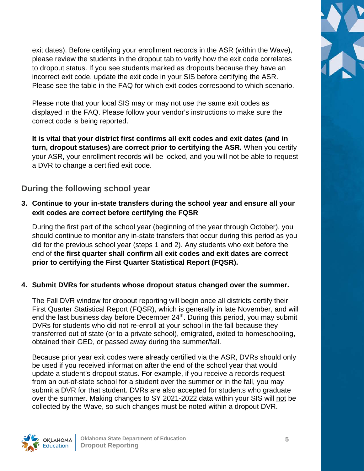exit dates). Before certifying your enrollment records in the ASR (within the Wave), please review the students in the dropout tab to verify how the exit code correlates to dropout status. If you see students marked as dropouts because they have an incorrect exit code, update the exit code in your SIS before certifying the ASR. Please see the table in the FAQ for which exit codes correspond to which scenario.

Please note that your local SIS may or may not use the same exit codes as displayed in the FAQ. Please follow your vendor's instructions to make sure the correct code is being reported.

**It is vital that your district first confirms all exit codes and exit dates (and in turn, dropout statuses) are correct prior to certifying the ASR.** When you certify your ASR, your enrollment records will be locked, and you will not be able to request a DVR to change a certified exit code.

### **During the following school year**

### **3. Continue to your in-state transfers during the school year and ensure all your exit codes are correct before certifying the FQSR**

During the first part of the school year (beginning of the year through October), you should continue to monitor any in-state transfers that occur during this period as you did for the previous school year (steps 1 and 2). Any students who exit before the end of **the first quarter shall confirm all exit codes and exit dates are correct prior to certifying the First Quarter Statistical Report (FQSR).**

### **4. Submit DVRs for students whose dropout status changed over the summer.**

The Fall DVR window for dropout reporting will begin once all districts certify their First Quarter Statistical Report (FQSR), which is generally in late November, and will end the last business day before December 24<sup>th</sup>. During this period, you may submit DVRs for students who did not re-enroll at your school in the fall because they transferred out of state (or to a private school), emigrated, exited to homeschooling, obtained their GED, or passed away during the summer/fall.

Because prior year exit codes were already certified via the ASR, DVRs should only be used if you received information after the end of the school year that would update a student's dropout status. For example, if you receive a records request from an out-of-state school for a student over the summer or in the fall, you may submit a DVR for that student. DVRs are also accepted for students who graduate over the summer. Making changes to SY 2021-2022 data within your SIS will not be collected by the Wave, so such changes must be noted within a dropout DVR.



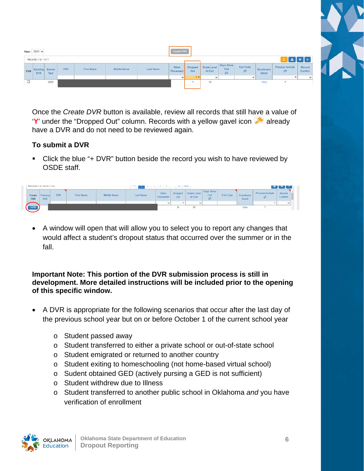|            | Year: 2021 v                  |      |     |                                          |                                                                             |           | Create DVR                                     |                         |                                     |                                |                                     |                      |                      |                           |
|------------|-------------------------------|------|-----|------------------------------------------|-----------------------------------------------------------------------------|-----------|------------------------------------------------|-------------------------|-------------------------------------|--------------------------------|-------------------------------------|----------------------|----------------------|---------------------------|
|            | Records 1 to 1 of 1           |      |     |                                          |                                                                             |           |                                                |                         |                                     |                                |                                     |                      |                      |                           |
| <b>DVR</b> | Existing School<br><b>DVR</b> | Year | STN | the first list of the con-<br>First Name | <b>STATE AND LINES OF STATES</b><br>Middle Name<br><b><i>CONTRACTOR</i></b> | Last Name | Other<br>Placement<br><b><i>CONTRACTOR</i></b> | Dropped<br>Out<br>- 600 | Grade Level<br>At Exit<br>1006-2010 | Days Since<br>Exit<br>$\equiv$ | <b>CONTRACTOR</b><br>Exit Code<br>ㄹ | Enrollment<br>Detail | Process Include<br>ㄹ | Record<br>Conflict<br>--- |
|            |                               |      |     |                                          |                                                                             |           | v                                              | Y .                     | $\checkmark$                        |                                | $\checkmark$                        |                      |                      | $\checkmark$              |
| $\Box$     |                               | 2021 |     |                                          |                                                                             |           |                                                | $\mathbf{v}$            | 10<br>63                            |                                |                                     | View                 | s.                   |                           |

Once the *Create DVR* button is available, review all records that still have a value of 'Y' under the "Dropped Out" column. Records with a yellow gavel icon **all alleady** have a DVR and do not need to be reviewed again.

### **To submit a DVR**

■ Click the blue "+ DVR" button beside the record you wish to have reviewed by OSDE staff.

|                      | <b>PULLING I BETWEEN 1724</b> |                                                      |                                                                           |                                                                                                |                                       |                                        | <b>SU</b>                 | <b>TEMAS</b>           |                                              |                                           |                     |                      | $\sim$ $\sim$ $\sim$        |
|----------------------|-------------------------------|------------------------------------------------------|---------------------------------------------------------------------------|------------------------------------------------------------------------------------------------|---------------------------------------|----------------------------------------|---------------------------|------------------------|----------------------------------------------|-------------------------------------------|---------------------|----------------------|-----------------------------|
| Create<br><b>DVR</b> | whichings.<br><b>DVR</b>      | <b>Contract Contract</b><br>STN<br><b>STATISTICS</b> | <b>Property of the Company</b><br><b>First Name</b><br>in a company and a | <b>ANTIQUE AND INCOME COMPANY</b><br>Middle Name<br><b><i><u>ALESSANDER STATISTICS</u></i></b> | <b>Contract Contract</b><br>Last Name | Other<br><b>Placement</b><br>anssamben | <b>Droppe</b><br>Out<br>m | Grade Level<br>At Exit | Days Since<br>Exit<br>$\sim$<br><b>State</b> | <b>Exit Code</b><br><b>MARKET CHARLES</b> | Enrollmen<br>Detail | Process Include<br>큰 | Record<br>Conflict<br>2.500 |
|                      |                               |                                                      |                                                                           |                                                                                                |                                       | $\overline{\phantom{a}}$               |                           | $\check{}$             |                                              |                                           |                     |                      | $\check{}$                  |
| $\bullet$ DVR        |                               |                                                      |                                                                           |                                                                                                |                                       |                                        |                           |                        |                                              |                                           | View                |                      |                             |

• A window will open that will allow you to select you to report any changes that would affect a student's dropout status that occurred over the summer or in the fall.

**Important Note: This portion of the DVR submission process is still in development. More detailed instructions will be included prior to the opening of this specific window.**

- A DVR is appropriate for the following scenarios that occur after the last day of the previous school year but on or before October 1 of the current school year
	- o Student passed away
	- o Student transferred to either a private school or out-of-state school
	- o Student emigrated or returned to another country
	- o Student exiting to homeschooling (not home-based virtual school)
	- o Sudent obtained GED (actively pursing a GED is not sufficient)
	- o Student withdrew due to Illness
	- o Student transferred to another public school in Oklahoma *and* you have verification of enrollment

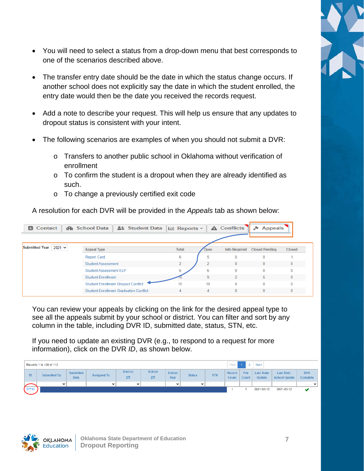

- You will need to select a status from a drop-down menu that best corresponds to one of the scenarios described above.
- The transfer entry date should be the date in which the status change occurs. If another school does not explicitly say the date in which the student enrolled, the entry date would then be the date you received the records request.
- Add a note to describe your request. This will help us ensure that any updates to dropout status is consistent with your intent.
- The following scenarios are examples of when you should not submit a DVR:
	- o Transfers to another public school in Oklahoma without verification of enrollment
	- o To confirm the student is a dropout when they are already identified as such.
	- o To change a previously certified exit code

A resolution for each DVR will be provided in the *Appeals* tab as shown below:

| <b>B</b> Contact             | <b>IAI</b> School Data<br><b>ALL</b> Student Data | $Lil$ Reports $\sim$ |                | A Conflicts          | <b>Appeals</b><br>⊁   |               |
|------------------------------|---------------------------------------------------|----------------------|----------------|----------------------|-----------------------|---------------|
| Submitted Year<br>$2021 - 1$ | <b>Appeal Type</b>                                | <b>Total</b>         | <b>Open</b>    | <b>Info Required</b> | <b>Closed Pending</b> | <b>Closed</b> |
|                              | <b>Report Card</b>                                | 6                    | ь              | $\bf{0}$             |                       |               |
|                              | <b>Student Assessment</b>                         |                      |                | $\Omega$             |                       | $\bf{0}$      |
|                              | <b>Student Assessment ELP</b>                     | 6                    | 6              | $\mathbf{0}$         |                       | $\mathbf{0}$  |
|                              | <b>Student Enrollment</b>                         |                      | 9              |                      | 5                     | $\bf{0}$      |
|                              | <b>Student Enrollment Dropout Conflict</b>        | 10                   | 10             | $\Omega$             | 0                     | $\bf{0}$      |
|                              | <b>Student Enrollment Graduation Conflict</b>     | Δ                    | $\overline{4}$ | $\mathbf{0}$         | $\Omega$              | $\mathbf{0}$  |

You can review your appeals by clicking on the link for the desired appeal type to see all the appeals submit by your school or district. You can filter and sort by any column in the table, including DVR ID, submitted date, status, STN, etc.

If you need to update an existing DVR (e.g., to respond to a request for more information), click on the DVR *ID*, as shown below.

|       | $\overline{2}$<br>Next<br>Prev<br>Records 1 to 100 of 113 |                          |                    |                      |                    |                          |               |            |                 |               |                                    |                                     |                        |
|-------|-----------------------------------------------------------|--------------------------|--------------------|----------------------|--------------------|--------------------------|---------------|------------|-----------------|---------------|------------------------------------|-------------------------------------|------------------------|
| ID    | <b>Submitted By</b>                                       | Submitted<br><b>Date</b> | <b>Assigned To</b> | <b>District</b><br>≓ | <b>School</b><br>⇄ | School<br>Year           | <b>Status</b> | <b>STN</b> | Record<br>Count | File<br>Count | <b>Last State</b><br><b>Update</b> | Last Dist /<br><b>School Update</b> | <b>DVR</b><br>Complete |
|       | $\check{ }$                                               |                          | $\sim$             | $\checkmark$         |                    | $\overline{\phantom{a}}$ | $\check{ }$   |            |                 |               |                                    |                                     | $\check{ }$            |
| 27733 |                                                           |                          |                    |                      |                    |                          |               |            |                 |               | 2021-03-12                         | 2021-03-12                          |                        |

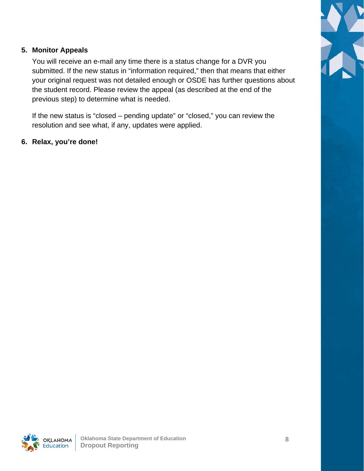

### **5. Monitor Appeals**

You will receive an e-mail any time there is a status change for a DVR you submitted. If the new status in "information required," then that means that either your original request was not detailed enough or OSDE has further questions about the student record. Please review the appeal (as described at the end of the previous step) to determine what is needed.

If the new status is "closed – pending update" or "closed," you can review the resolution and see what, if any, updates were applied.

### **6. Relax, you're done!**

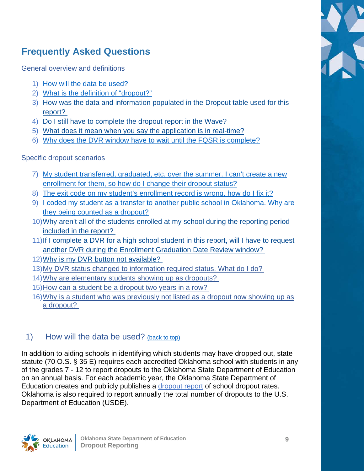# <span id="page-8-0"></span>**Frequently Asked Questions**

General overview and definitions

- 1) [How will the data be used?](#page-8-1)
- 2) [What is the definition of "dropout?"](#page-9-0)
- 3) [How was the data and information populated in the Dropout table](#page-15-0) used for this [report?](#page-15-0)
- 4) [Do I still have to complete the dropout report in the Wave?](#page-15-1)
- 5) [What does it mean when you say the application is in real-time?](#page-15-2)
- 6) [Why does the DVR window have to wait until the FQSR is complete?](#page-16-0)

Specific dropout scenarios

- 7) [My student transferred, graduated, etc. over the summer. I can't create a new](#page-16-0)  [enrollment for them, so how do I change their dropout status?](#page-16-0)
- 8) [The exit code on my student's enrollment record is wrong, how do I fix it?](#page-16-1)
- 9) I coded my [student as a transfer to another public school in Oklahoma. Why are](#page-16-0)  [they being counted as a dropout?](#page-16-0)
- 10[\)Why aren't all of the students enrolled at my school during the reporting period](#page-17-0)  [included in the report?](#page-17-0)
- 11[\)If I complete a DVR for a high school student in this report, will I have to request](#page-18-0)  [another DVR during the Enrollment Graduation Date Review window?](#page-18-0)
- 12[\)Why is my DVR button not available?](#page-18-1)
- 13[\)My DVR status changed to information required status.](#page-18-2) What do I do?
- 14[\)Why are elementary students showing up as dropouts?](#page-18-3)
- 15[\)How can a student be a dropout two years in a row?](#page-18-4)
- 16[\)Why is a student who was previously not listed as a dropout now showing up as](#page-18-5)  [a dropout?](#page-18-5)

### <span id="page-8-1"></span>1) How will the data be used? (back [to top\)](#page-8-0)

In addition to aiding schools in identifying which students may have dropped out, state statute (70 O.S. § 35 E) requires each accredited Oklahoma school with students in any of the grades 7 - 12 to report dropouts to the Oklahoma State Department of Education on an annual basis. For each academic year, the Oklahoma State Department of Education creates and publicly publishes a [dropout report](https://sde.ok.gov/student-dropout-report) of school dropout rates. Oklahoma is also required to report annually the total number of dropouts to the U.S. Department of Education (USDE).



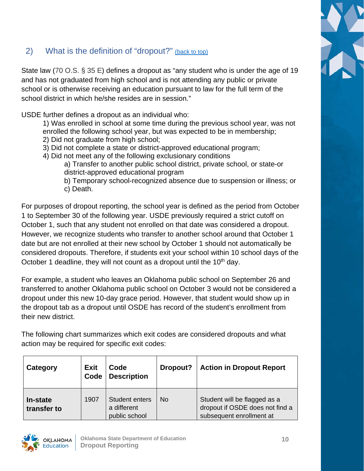### <span id="page-9-0"></span>2) What is the definition of "dropout?" (back [to top\)](#page-8-0)

State law (70 O.S. § 35 E) defines a dropout as "any student who is under the age of 19 and has not graduated from high school and is not attending any public or private school or is otherwise receiving an education pursuant to law for the full term of the school district in which he/she resides are in session."

USDE further defines a dropout as an individual who:

- 1) Was enrolled in school at some time during the previous school year, was not enrolled the following school year, but was expected to be in membership;
- 2) Did not graduate from high school;
- 3) Did not complete a state or district-approved educational program;
- 4) Did not meet any of the following exclusionary conditions
	- a) Transfer to another public school district, private school, or state-or district-approved educational program
	- b) Temporary school-recognized absence due to suspension or illness; or c) Death.

For purposes of dropout reporting, the school year is defined as the period from October 1 to September 30 of the following year. USDE previously required a strict cutoff on October 1, such that any student not enrolled on that date was considered a dropout. However, we recognize students who transfer to another school around that October 1 date but are not enrolled at their new school by October 1 should not automatically be considered dropouts. Therefore, if students exit your school within 10 school days of the October 1 deadline, they will not count as a dropout until the 10<sup>th</sup> day.

For example, a student who leaves an Oklahoma public school on September 26 and transferred to another Oklahoma public school on October 3 would not be considered a dropout under this new 10-day grace period. However, that student would show up in the dropout tab as a dropout until OSDE has record of the student's enrollment from their new district.

The following chart summarizes which exit codes are considered dropouts and what action may be required for specific exit codes:

| Category                | <b>Exit</b><br>Code<br><b>Description</b><br>Code |                                                | Dropout?  | <b>Action in Dropout Report</b>                                                             |
|-------------------------|---------------------------------------------------|------------------------------------------------|-----------|---------------------------------------------------------------------------------------------|
| In-state<br>transfer to | 1907                                              | Student enters<br>a different<br>public school | <b>No</b> | Student will be flagged as a<br>dropout if OSDE does not find a<br>subsequent enrollment at |

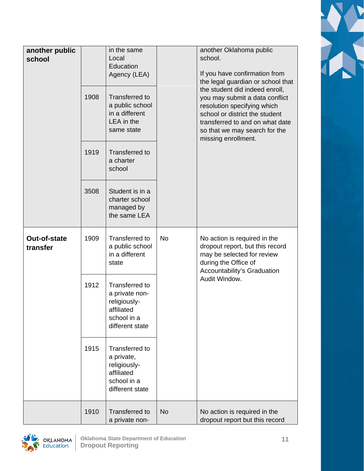| another public<br>school | 1908 | in the same<br>Local<br>Education<br>Agency (LEA)<br><b>Transferred to</b>                          |           | another Oklahoma public<br>school.<br>If you have confirmation from<br>the legal guardian or school that<br>the student did indeed enroll,<br>you may submit a data conflict |
|--------------------------|------|-----------------------------------------------------------------------------------------------------|-----------|------------------------------------------------------------------------------------------------------------------------------------------------------------------------------|
|                          |      | a public school<br>in a different<br>LEA in the<br>same state                                       |           | resolution specifying which<br>school or district the student<br>transferred to and on what date<br>so that we may search for the<br>missing enrollment.                     |
|                          | 1919 | <b>Transferred to</b><br>a charter<br>school                                                        |           |                                                                                                                                                                              |
|                          | 3508 | Student is in a<br>charter school<br>managed by<br>the same LEA                                     |           |                                                                                                                                                                              |
| Out-of-state<br>transfer | 1909 | Transferred to<br>a public school<br>in a different<br>state                                        | <b>No</b> | No action is required in the<br>dropout report, but this record<br>may be selected for review<br>during the Office of<br>Accountability's Graduation                         |
|                          | 1912 | Transferred to<br>a private non-<br>religiously-<br>affiliated<br>school in a<br>different state    |           | Audit Window.                                                                                                                                                                |
|                          | 1915 | <b>Transferred to</b><br>a private,<br>religiously-<br>affiliated<br>school in a<br>different state |           |                                                                                                                                                                              |
|                          | 1910 | <b>Transferred to</b><br>a private non-                                                             | <b>No</b> | No action is required in the<br>dropout report but this record                                                                                                               |



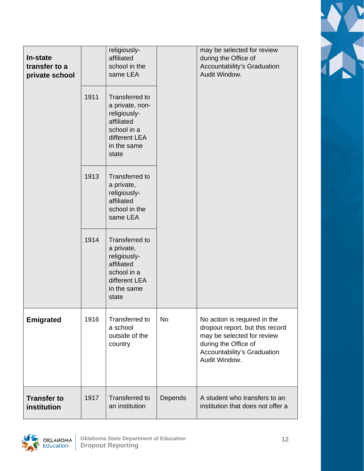| In-state<br>transfer to a<br>private school | 1911<br>1913 | religiously-<br>affiliated<br>school in the<br>same LEA<br>Transferred to<br>a private, non-<br>religiously-<br>affiliated<br>school in a<br>different LEA<br>in the same<br>state<br>Transferred to<br>a private,<br>religiously-<br>affiliated<br>school in the |           | may be selected for review<br>during the Office of<br>Accountability's Graduation<br>Audit Window.                                                                    |
|---------------------------------------------|--------------|-------------------------------------------------------------------------------------------------------------------------------------------------------------------------------------------------------------------------------------------------------------------|-----------|-----------------------------------------------------------------------------------------------------------------------------------------------------------------------|
|                                             | 1914         | same LEA<br>Transferred to<br>a private,<br>religiously-<br>affiliated<br>school in a<br>different LEA<br>in the same<br>state                                                                                                                                    |           |                                                                                                                                                                       |
| <b>Emigrated</b>                            | 1916         | <b>Transferred to</b><br>a school<br>outside of the<br>country                                                                                                                                                                                                    | <b>No</b> | No action is required in the<br>dropout report, but this record<br>may be selected for review<br>during the Office of<br>Accountability's Graduation<br>Audit Window. |
| <b>Transfer to</b><br>institution           | 1917         | <b>Transferred to</b><br>an institution                                                                                                                                                                                                                           | Depends   | A student who transfers to an<br>institution that does not offer a                                                                                                    |



 $\blacktriangledown$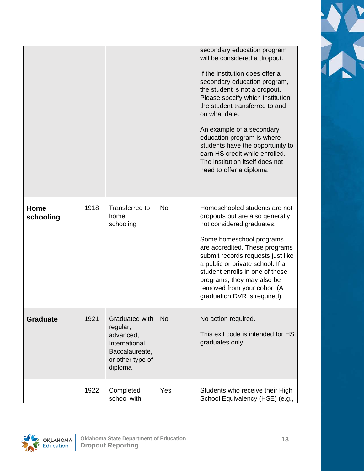|                   |      |                                                                                                           |           | secondary education program<br>will be considered a dropout.<br>If the institution does offer a<br>secondary education program,<br>the student is not a dropout.<br>Please specify which institution<br>the student transferred to and<br>on what date.<br>An example of a secondary<br>education program is where<br>students have the opportunity to<br>earn HS credit while enrolled.<br>The institution itself does not<br>need to offer a diploma. |
|-------------------|------|-----------------------------------------------------------------------------------------------------------|-----------|---------------------------------------------------------------------------------------------------------------------------------------------------------------------------------------------------------------------------------------------------------------------------------------------------------------------------------------------------------------------------------------------------------------------------------------------------------|
| Home<br>schooling | 1918 | Transferred to<br>home<br>schooling                                                                       | <b>No</b> | Homeschooled students are not<br>dropouts but are also generally<br>not considered graduates.<br>Some homeschool programs<br>are accredited. These programs<br>submit records requests just like<br>a public or private school. If a<br>student enrolls in one of these<br>programs, they may also be<br>removed from your cohort (A<br>graduation DVR is required).                                                                                    |
| <b>Graduate</b>   | 1921 | Graduated with<br>regular,<br>advanced,<br>International<br>Baccalaureate,<br>or other type of<br>diploma | <b>No</b> | No action required.<br>This exit code is intended for HS<br>graduates only.                                                                                                                                                                                                                                                                                                                                                                             |
|                   | 1922 | Completed<br>school with                                                                                  | Yes       | Students who receive their High<br>School Equivalency (HSE) (e.g.,                                                                                                                                                                                                                                                                                                                                                                                      |

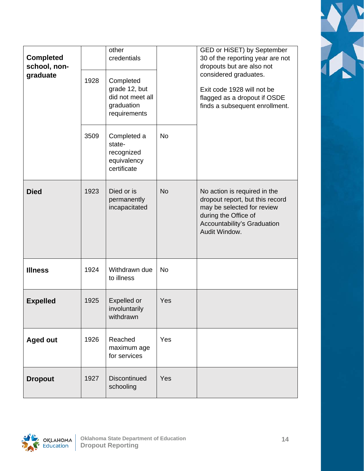| <b>Completed</b><br>school, non-<br>graduate | 1928 | other<br>credentials<br>Completed<br>grade 12, but<br>did not meet all<br>graduation<br>requirements |           | GED or HiSET) by September<br>30 of the reporting year are not<br>dropouts but are also not<br>considered graduates.<br>Exit code 1928 will not be<br>flagged as a dropout if OSDE<br>finds a subsequent enrollment. |
|----------------------------------------------|------|------------------------------------------------------------------------------------------------------|-----------|----------------------------------------------------------------------------------------------------------------------------------------------------------------------------------------------------------------------|
|                                              | 3509 | Completed a<br>state-<br>recognized<br>equivalency<br>certificate                                    | <b>No</b> |                                                                                                                                                                                                                      |
| <b>Died</b>                                  | 1923 | Died or is<br>permanently<br>incapacitated                                                           | <b>No</b> | No action is required in the<br>dropout report, but this record<br>may be selected for review<br>during the Office of<br>Accountability's Graduation<br>Audit Window.                                                |
| <b>Illness</b>                               | 1924 | Withdrawn due<br>to illness                                                                          | <b>No</b> |                                                                                                                                                                                                                      |
| <b>Expelled</b>                              | 1925 | <b>Expelled or</b><br>involuntarily<br>withdrawn                                                     | Yes       |                                                                                                                                                                                                                      |
| <b>Aged out</b>                              | 1926 | Reached<br>maximum age<br>for services                                                               | Yes       |                                                                                                                                                                                                                      |
| <b>Dropout</b>                               | 1927 | Discontinued<br>schooling                                                                            | Yes       |                                                                                                                                                                                                                      |



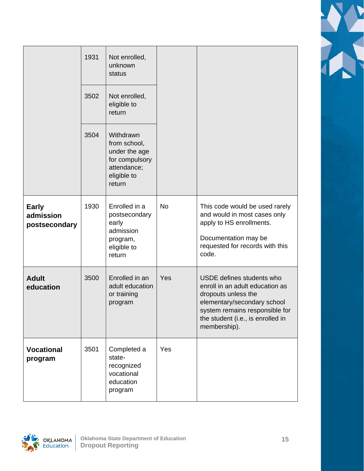|                                            | 1931<br>3502 | Not enrolled,<br>unknown<br>status<br>Not enrolled,<br>eligible to<br>return                         |           |                                                                                                                                                                                                           |
|--------------------------------------------|--------------|------------------------------------------------------------------------------------------------------|-----------|-----------------------------------------------------------------------------------------------------------------------------------------------------------------------------------------------------------|
|                                            | 3504         | Withdrawn<br>from school,<br>under the age<br>for compulsory<br>attendance;<br>eligible to<br>return |           |                                                                                                                                                                                                           |
| <b>Early</b><br>admission<br>postsecondary | 1930         | Enrolled in a<br>postsecondary<br>early<br>admission<br>program,<br>eligible to<br>return            | <b>No</b> | This code would be used rarely<br>and would in most cases only<br>apply to HS enrollments.<br>Documentation may be<br>requested for records with this<br>code.                                            |
| <b>Adult</b><br>education                  | 3500         | Enrolled in an<br>adult education<br>or training<br>program                                          | Yes       | USDE defines students who<br>enroll in an adult education as<br>dropouts unless the<br>elementary/secondary school<br>system remains responsible for<br>the student (i.e., is enrolled in<br>membership). |
| <b>Vocational</b><br>program               | 3501         | Completed a<br>state-<br>recognized<br>vocational<br>education<br>program                            | Yes       |                                                                                                                                                                                                           |



X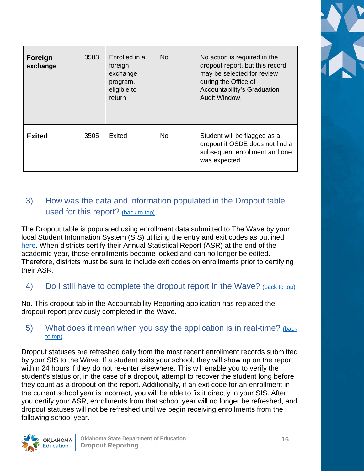| Foreign<br>exchange | 3503 | Enrolled in a<br>foreign<br>exchange<br>program,<br>eligible to<br>return | N <sub>o</sub> | No action is required in the<br>dropout report, but this record<br>may be selected for review<br>during the Office of<br>Accountability's Graduation<br>Audit Window. |
|---------------------|------|---------------------------------------------------------------------------|----------------|-----------------------------------------------------------------------------------------------------------------------------------------------------------------------|
| <b>Exited</b>       | 3505 | Exited                                                                    | <b>No</b>      | Student will be flagged as a<br>dropout if OSDE does not find a<br>subsequent enrollment and one<br>was expected.                                                     |

### <span id="page-15-0"></span>3) How was the data and information populated in the Dropout table used for this report? [\(back](#page-8-0) to top)

The Dropout table is populated using enrollment data submitted to The Wave by your local Student Information System (SIS) utilizing the entry and exit codes as outlined [here.](https://sde.ok.gov/wave-requirements) When districts certify their Annual Statistical Report (ASR) at the end of the academic year, those enrollments become locked and can no longer be edited. Therefore, districts must be sure to include exit codes on enrollments prior to certifying their ASR.

<span id="page-15-1"></span>4) Do I still have to complete the dropout report in the Wave? (back [to top\)](#page-8-0)

No. This dropout tab in the Accountability Reporting application has replaced the dropout report previously completed in the Wave.

### <span id="page-15-2"></span>5) What does it mean when you say the application is in real-time? [\(back](#page-8-0) [to top\)](#page-8-0)

Dropout statuses are refreshed daily from the most recent enrollment records submitted by your SIS to the Wave. If a student exits your school, they will show up on the report within 24 hours if they do not re-enter elsewhere. This will enable you to verify the student's status or, in the case of a dropout, attempt to recover the student long before they count as a dropout on the report. Additionally, if an exit code for an enrollment in the current school year is incorrect, you will be able to fix it directly in your SIS. After you certify your ASR, enrollments from that school year will no longer be refreshed, and dropout statuses will not be refreshed until we begin receiving enrollments from the following school year.

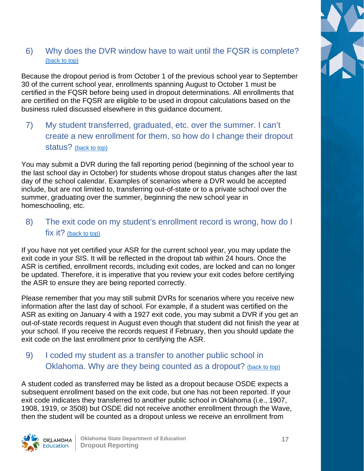### <span id="page-16-0"></span>6) Why does the DVR window have to wait until the FQSR is complete? (back [to top\)](#page-8-0)

Because the dropout period is from October 1 of the previous school year to September 30 of the current school year, enrollments spanning August to October 1 must be certified in the FQSR before being used in dropout determinations. All enrollments that are certified on the FQSR are eligible to be used in dropout calculations based on the business ruled discussed elsewhere in this guidance document.

### 7) My student transferred, graduated, etc. over the summer. I can't create a new enrollment for them, so how do I change their dropout status? (back [to top\)](#page-8-0)

You may submit a DVR during the fall reporting period (beginning of the school year to the last school day in October) for students whose dropout status changes after the last day of the school calendar. Examples of scenarios where a DVR would be accepted include, but are not limited to, transferring out-of-state or to a private school over the summer, graduating over the summer, beginning the new school year in homeschooling, etc.

### <span id="page-16-1"></span>8) The exit code on my student's enrollment record is wrong, how do I fix it? (back [to top\)](#page-8-0)

If you have not yet certified your ASR for the current school year, you may update the exit code in your SIS. It will be reflected in the dropout tab within 24 hours. Once the ASR is certified, enrollment records, including exit codes, are locked and can no longer be updated. Therefore, it is imperative that you review your exit codes before certifying the ASR to ensure they are being reported correctly.

Please remember that you may still submit DVRs for scenarios where you receive new information after the last day of school. For example, if a student was certified on the ASR as exiting on January 4 with a 1927 exit code, you may submit a DVR if you get an out-of-state records request in August even though that student did not finish the year at your school. If you receive the records request if February, then you should update the exit code on the last enrollment prior to certifying the ASR.

### 9) I coded my student as a transfer to another public school in Oklahoma. Why are they being counted as a dropout? (back [to top\)](#page-8-0)

A student coded as transferred may be listed as a dropout because OSDE expects a subsequent enrollment based on the exit code, but one has not been reported. If your exit code indicates they transferred to another public school in Oklahoma (i.e., 1907, 1908, 1919, or 3508) but OSDE did not receive another enrollment through the Wave, then the student will be counted as a dropout unless we receive an enrollment from

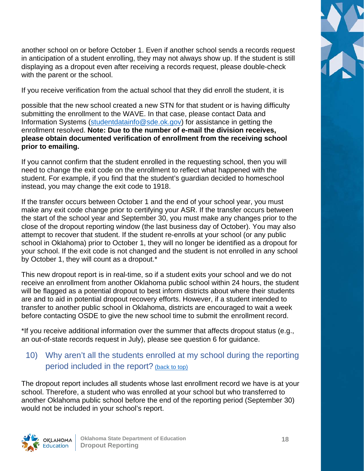

another school on or before October 1. Even if another school sends a records request in anticipation of a student enrolling, they may not always show up. If the student is still displaying as a dropout even after receiving a records request, please double-check with the parent or the school.

If you receive verification from the actual school that they did enroll the student, it is

possible that the new school created a new STN for that student or is having difficulty submitting the enrollment to the WAVE. In that case, please contact Data and Information Systems [\(studentdatainfo@sde.ok.gov\)](mailto:studentdatainfo@sde.ok.gov) for assistance in getting the enrollment resolved. **Note: Due to the number of e-mail the division receives, please obtain documented verification of enrollment from the receiving school prior to emailing.**

If you cannot confirm that the student enrolled in the requesting school, then you will need to change the exit code on the enrollment to reflect what happened with the student. For example, if you find that the student's guardian decided to homeschool instead, you may change the exit code to 1918.

If the transfer occurs between October 1 and the end of your school year, you must make any exit code change prior to certifying your ASR. If the transfer occurs between the start of the school year and September 30, you must make any changes prior to the close of the dropout reporting window (the last business day of October). You may also attempt to recover that student. If the student re-enrolls at your school (or any public school in Oklahoma) prior to October 1, they will no longer be identified as a dropout for your school. If the exit code is not changed and the student is not enrolled in any school by October 1, they will count as a dropout.\*

This new dropout report is in real-time, so if a student exits your school and we do not receive an enrollment from another Oklahoma public school within 24 hours, the student will be flagged as a potential dropout to best inform districts about where their students are and to aid in potential dropout recovery efforts. However, if a student intended to transfer to another public school in Oklahoma, districts are encouraged to wait a week before contacting OSDE to give the new school time to submit the enrollment record.

\*If you receive additional information over the summer that affects dropout status (e.g., an out-of-state records request in July), please see question 6 for guidance.

### <span id="page-17-0"></span>10) Why aren't all the students enrolled at my school during the reporting period included in the report? (back [to top\)](#page-8-0)

The dropout report includes all students whose last enrollment record we have is at your school. Therefore, a student who was enrolled at your school but who transferred to another Oklahoma public school before the end of the reporting period (September 30) would not be included in your school's report.

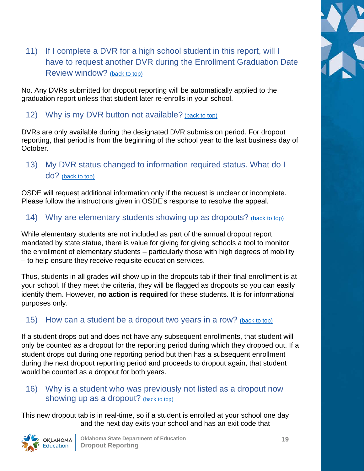

### <span id="page-18-0"></span>11) If I complete a DVR for a high school student in this report, will I have to request another DVR during the Enrollment Graduation Date Review window? [\(back to top\)](#page-8-0)

No. Any DVRs submitted for dropout reporting will be automatically applied to the graduation report unless that student later re-enrolls in your school.

### <span id="page-18-1"></span>12) Why is my DVR button not available? (back [to top\)](#page-8-0)

DVRs are only available during the designated DVR submission period. For dropout reporting, that period is from the beginning of the school year to the last business day of October.

### <span id="page-18-2"></span>13) My DVR status changed to information required status. What do I do? [\(back to top\)](#page-8-0)

OSDE will request additional information only if the request is unclear or incomplete. Please follow the instructions given in OSDE's response to resolve the appeal.

### <span id="page-18-3"></span>14) Why are elementary students showing up as dropouts? (back [to top\)](#page-8-0)

While elementary students are not included as part of the annual dropout report mandated by state statue, there is value for giving for giving schools a tool to monitor the enrollment of elementary students – particularly those with high degrees of mobility – to help ensure they receive requisite education services.

Thus, students in all grades will show up in the dropouts tab if their final enrollment is at your school. If they meet the criteria, they will be flagged as dropouts so you can easily identify them. However, **no action is required** for these students. It is for informational purposes only.

### <span id="page-18-4"></span>15) How can a student be a dropout two years in a row? (back [to top\)](#page-8-0)

If a student drops out and does not have any subsequent enrollments, that student will only be counted as a dropout for the reporting period during which they dropped out. If a student drops out during one reporting period but then has a subsequent enrollment during the next dropout reporting period and proceeds to dropout again, that student would be counted as a dropout for both years.

### <span id="page-18-5"></span>16) Why is a student who was previously not listed as a dropout now showing up as a dropout? (back [to top\)](#page-8-0)

This new dropout tab is in real-time, so if a student is enrolled at your school one day and the next day exits your school and has an exit code that